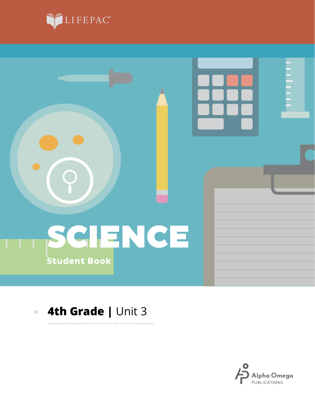



. . . . . . . .

#### **4th Grade |** Unit 3 $\mathbb{R}^2$

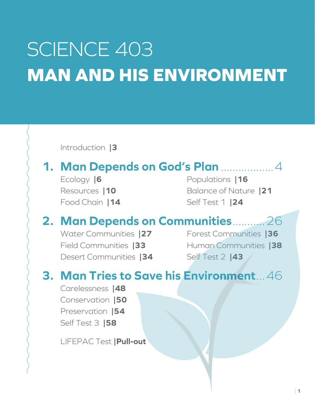# SCIENCE 403 **MAN AND HIS ENVIRONMENT**

Introduction **|3 1. Man Depends on God's Plan** ..................4 Ecology **|6** Resources **|10** Food Chain **|14** Populations **|16** Balance of Nature **|21** Self Test 1 **|24 2. Man Depends on Communities**...........26 Water Communities **|27** Field Communities **|33** Desert Communities **|34** Forest Communities **|36** Human Communities **|38** Self Test 2 **|43 3. Man Tries to Save his Environment**...46 Carelessness **|48** Conservation **|50** Preservation **|54** Self Test 3 **|58** LIFEPAC Test **|Pull-out**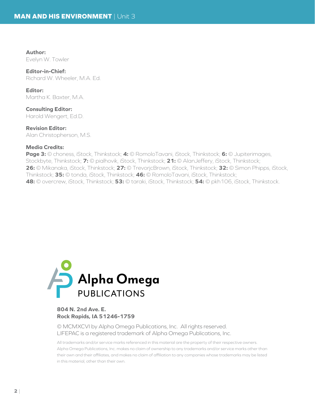**Author:** Evelyn W. Towler

#### **Editor-in-Chief:**

Richard W. Wheeler, M.A. Ed.

**Editor:** Martha K. Baxter, M.A.

**Consulting Editor:** Harold Wengert, Ed.D.

**Revision Editor:** Alan Christopherson, M.S.

#### **Media Credits:**

**Page 3:** © choness, iStock, Thinkstock; **4:** © RomoloTavani, iStock, Thinkstock; **6:** © Jupiterimages, Stockbyte, Thinkstock; **7:** © pialhovik, iStock, Thinkstock; **21:** © AlanJeffery, iStock, Thinkstock; **26:** © Mikanaka, iStock, Thinkstock; **27:** © TrevorjcBrown, iStock, Thinkstock; **32:** © Simon Phipps, iStock, Thinkstock; **35:** © tonda, iStock, Thinkstock; **46:** © RomoloTavani, iStock, Thinkstock; **48:** © overcrew, iStock, Thinkstock; **53:** © taraki, iStock, Thinkstock; **54:** © pkh106, iStock, Thinkstock.



#### **804 N. 2nd Ave. E. Rock Rapids, IA 51246-1759**

© MCMXCVI by Alpha Omega Publications, Inc. All rights reserved. LIFEPAC is a registered trademark of Alpha Omega Publications, Inc.

All trademarks and/or service marks referenced in this material are the property of their respective owners. Alpha Omega Publications, Inc. makes no claim of ownership to any trademarks and/or service marks other than their own and their affiliates, and makes no claim of affiliation to any companies whose trademarks may be listed in this material, other than their own.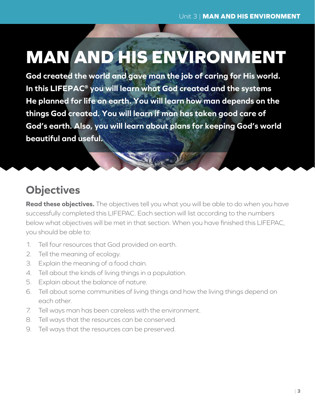# **MAN AND HIS ENVIRONMENT**

**God created the world and gave man the job of caring for His world. In this LIFEPAC® you will learn what God created and the systems He planned for life on earth. You will learn how man depends on the things God created. You will learn if man has taken good care of God's earth. Also, you will learn about plans for keeping God's world beautiful and useful.**

## **Objectives**

**Read these objectives.** The objectives tell you what you will be able to do when you have successfully completed this LIFEPAC. Each section will list according to the numbers below what objectives will be met in that section. When you have finished this LIFEPAC, you should be able to:

- 1. Tell four resources that God provided on earth.
- 2. Tell the meaning of ecology.
- 3. Explain the meaning of a food chain.
- 4. Tell about the kinds of living things in a population.
- 5. Explain about the balance of nature.
- 6. Tell about some communities of living things and how the living things depend on each other.
- 7. Tell ways man has been careless with the environment.
- 8. Tell ways that the resources can be conserved.
- 9. Tell ways that the resources can be preserved.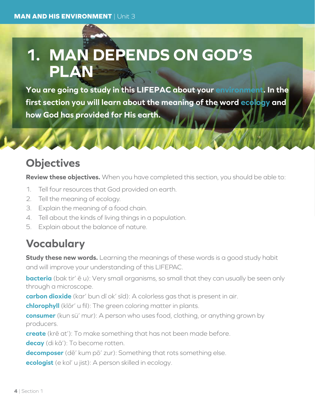# **1. MAN DEPENDS ON GOD'S PLAN**

**You are going to study in this LIFEPAC about your environment. In the first section you will learn about the meaning of the word ecology and how God has provided for His earth.**

### **Objectives**

**Review these objectives.** When you have completed this section, you should be able to:

- 1. Tell four resources that God provided on earth.
- 2. Tell the meaning of ecology.
- 3. Explain the meaning of a food chain.
- 4. Tell about the kinds of living things in a population.
- 5. Explain about the balance of nature.

# **Vocabulary**

**Study these new words.** Learning the meanings of these words is a good study habit and will improve your understanding of this LIFEPAC.

**bacteria** (bak tir'  $\bar{e}$  u): Very small organisms, so small that they can usually be seen only through a microscope.

**carbon dioxide** (kar' bun dī ok' sīd): A colorless gas that is present in air.

**chlorophyll** (klōr' u fil): The green coloring matter in plants.

**consumer** (kun sü' mur): A person who uses food, clothing, or anything grown by producers.

**create** (krē at'): To make something that has not been made before.

**decay** (di kā'): To become rotten.

**decomposer** (dē' kum pō' zur): Something that rots something else.

**ecologist** (e kol' u jist): A person skilled in ecology.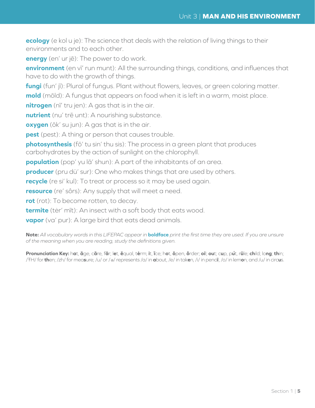**ecology** (e kol u je): The science that deals with the relation of living things to their environments and to each other.

**energy** (en' ur jē): The power to do work.

**environment** (en vī' run munt): All the surrounding things, conditions, and influences that have to do with the growth of things.

**fungi** (fun' jī): Plural of fungus. Plant without flowers, leaves, or green coloring matter.

**mold** (mōld): A fungus that appears on food when it is left in a warm, moist place.

**nitrogen** (nī' tru jen): A gas that is in the air.

**nutrient** (nu' trē unt): A nourishing substance.

**oxygen** (ōk' su jun): A gas that is in the air.

**pest** (pest): A thing or person that causes trouble.

**photosynthesis** (fō' tu sin' thu sis): The process in a green plant that produces carbohydrates by the action of sunlight on the chlorophyll.

**population** (pop' yu lā' shun): A part of the inhabitants of an area.

**producer** (pru dü' sur): One who makes things that are used by others.

**recycle** (re si' kul): To treat or process so it may be used again.

**resource** (re' sôrs): Any supply that will meet a need.

**rot** (rot): To become rotten, to decay.

**termite** (tėr' mīt): An insect with a soft body that eats wood.

**vapor** (va' pur): A large bird that eats dead animals.

**Note:** *All vocabulary words in this LIFEPAC appear in* **boldface** *print the first time they are used. If you are unsure of the meaning when you are reading, study the definitions given.*

Pronunciation Key: hat, āge, cãre, fär; let, ēqual, tėrm; it, īce; hot, ōpen, ôrder; oil; out; cup, put, rüle; child; long; thin; /ŦH/ for **th**en; /zh/ for mea**s**ure; /u/ or / <sup>e</sup> / represents /a/ in **a**bout, /e/ in tak**e**n, /i/ in penc**i**l, /o/ in lem**o**n, and /u/ in circ**u**s.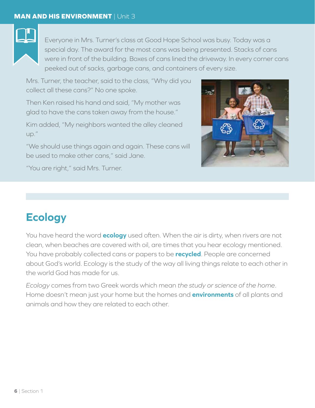

Everyone in Mrs. Turner's class at Good Hope School was busy. Today was a special day. The award for the most cans was being presented. Stacks of cans were in front of the building. Boxes of cans lined the driveway. In every corner cans peeked out of sacks, garbage cans, and containers of every size.

Mrs. Turner, the teacher, said to the class, "Why did you collect all these cans?" No one spoke.

Then Ken raised his hand and said, "My mother was glad to have the cans taken away from the house."

Kim added, "My neighbors wanted the alley cleaned up."

"We should use things again and again. These cans will be used to make other cans," said Jane.



"You are right," said Mrs. Turner.

# **Ecology**

You have heard the word **ecology** used often. When the air is dirty, when rivers are not clean, when beaches are covered with oil, are times that you hear ecology mentioned. You have probably collected cans or papers to be **recycled**. People are concerned about God's world. Ecology is the study of the way all living things relate to each other in the world God has made for us.

*Ecology* comes from two Greek words which mean *the study or science of the home*. Home doesn't mean just your home but the homes and **environments** of all plants and animals and how they are related to each other.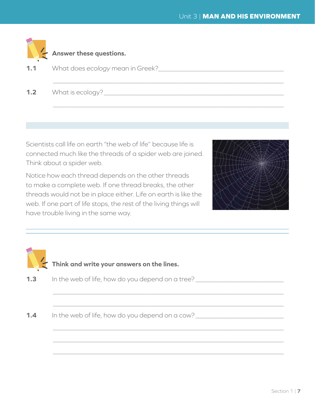|     | Answer these questions.                     |
|-----|---------------------------------------------|
|     | <b>1.1</b> What does ecology mean in Greek? |
| 1.2 | What is ecology?                            |

Scientists call life on earth "the web of life" because life is connected much like the threads of a spider web are joined. Think about a spider web.

Notice how each thread depends on the other threads to make a complete web. If one thread breaks, the other threads would not be in place either. Life on earth is like the web. If one part of life stops, the rest of the living things will have trouble living in the same way.



|     | Think and write your answers on the lines.       |
|-----|--------------------------------------------------|
| 1.3 | In the web of life, how do you depend on a tree? |
| 1.4 | In the web of life, how do you depend on a cow?  |

\_\_\_\_\_\_\_\_\_\_\_\_\_\_\_\_\_\_\_\_\_\_\_\_\_\_\_\_\_\_\_\_\_\_\_\_\_\_\_\_\_\_\_\_\_\_\_\_\_\_\_\_\_\_\_\_\_\_\_\_\_\_\_\_\_\_\_\_

\_\_\_\_\_\_\_\_\_\_\_\_\_\_\_\_\_\_\_\_\_\_\_\_\_\_\_\_\_\_\_\_\_\_\_\_\_\_\_\_\_\_\_\_\_\_\_\_\_\_\_\_\_\_\_\_\_\_\_\_\_\_\_\_\_\_\_\_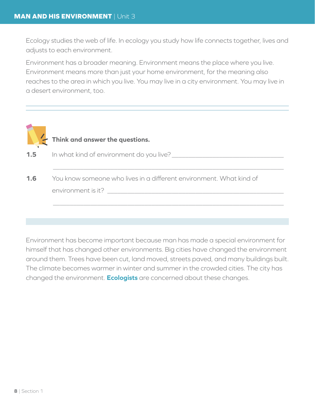Ecology studies the web of life. In ecology you study how life connects together, lives and adjusts to each environment.

Environment has a broader meaning. Environment means the place where you live. Environment means more than just your home environment, for the meaning also reaches to the area in which you live. You may live in a city environment. You may live in a desert environment, too.



# **Think and answer the questions.**

**1.5** In what kind of environment do you live?

**1.6** You know someone who lives in a different environment. What kind of environment is it? \_\_\_\_\_\_\_\_\_\_\_\_\_\_\_\_\_\_\_\_\_\_\_\_\_\_\_\_\_\_\_\_\_\_\_\_\_\_\_\_\_\_\_\_\_\_\_\_\_\_\_\_

\_\_\_\_\_\_\_\_\_\_\_\_\_\_\_\_\_\_\_\_\_\_\_\_\_\_\_\_\_\_\_\_\_\_\_\_\_\_\_\_\_\_\_\_\_\_\_\_\_\_\_\_\_\_\_\_\_\_\_\_\_\_\_\_\_\_\_\_

\_\_\_\_\_\_\_\_\_\_\_\_\_\_\_\_\_\_\_\_\_\_\_\_\_\_\_\_\_\_\_\_\_\_\_\_\_\_\_\_\_\_\_\_\_\_\_\_\_\_\_\_\_\_\_\_\_\_\_\_\_\_\_\_\_\_\_\_

Environment has become important because man has made a special environment for himself that has changed other environments. Big cities have changed the environment around them. Trees have been cut, land moved, streets paved, and many buildings built. The climate becomes warmer in winter and summer in the crowded cities. The city has changed the environment. **Ecologists** are concerned about these changes.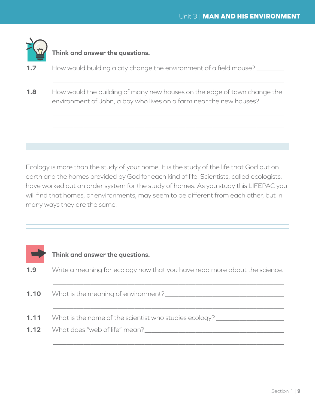

#### **Think and answer the questions.**

- **1.7** How would building a city change the environment of a field mouse?
- **1.8** How would the building of many new houses on the edge of town change the environment of John, a boy who lives on a farm near the new houses?

\_\_\_\_\_\_\_\_\_\_\_\_\_\_\_\_\_\_\_\_\_\_\_\_\_\_\_\_\_\_\_\_\_\_\_\_\_\_\_\_\_\_\_\_\_\_\_\_\_\_\_\_\_\_\_\_\_\_\_\_\_\_\_\_\_\_\_\_

 $\_$  , and the contribution of the contribution of  $\mathcal{L}_1$  , and the contribution of  $\mathcal{L}_2$  , and the contribution of  $\mathcal{L}_1$ 

\_\_\_\_\_\_\_\_\_\_\_\_\_\_\_\_\_\_\_\_\_\_\_\_\_\_\_\_\_\_\_\_\_\_\_\_\_\_\_\_\_\_\_\_\_\_\_\_\_\_\_\_\_\_\_\_\_\_\_\_\_\_\_\_\_\_\_\_

Ecology is more than the study of your home. It is the study of the life that God put on earth and the homes provided by God for each kind of life. Scientists, called ecologists, have worked out an order system for the study of homes. As you study this LIFEPAC you will find that homes, or environments, may seem to be different from each other, but in many ways they are the same.

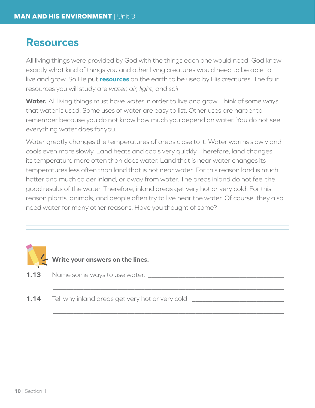### **Resources**

All living things were provided by God with the things each one would need. God knew exactly what kind of things you and other living creatures would need to be able to live and grow. So He put **resources** on the earth to be used by His creatures. The four resources you will study are *water, air, light,* and *soil*.

**Water.** All living things must have *water* in order to live and grow. Think of some ways that water is used. Some uses of water are easy to list. Other uses are harder to remember because you do not know how much you depend on water. You do not see everything water does for you.

Water greatly changes the temperatures of areas close to it. Water warms slowly and cools even more slowly. Land heats and cools very quickly. Therefore, land changes its temperature more often than does water. Land that is near water changes its temperatures less often than land that is not near water. For this reason land is much hotter and much colder inland, or away from water. The areas inland do not feel the good results of the water. Therefore, inland areas get very hot or very cold. For this reason plants, animals, and people often try to live near the water. Of course, they also need water for many other reasons. Have you thought of some?

\_\_\_\_\_\_\_\_\_\_\_\_\_\_\_\_\_\_\_\_\_\_\_\_\_\_\_\_\_\_\_\_\_\_\_\_\_\_\_\_\_\_\_\_\_\_\_\_\_\_\_\_\_\_\_\_\_\_\_\_\_\_\_\_\_\_\_\_

\_\_\_\_\_\_\_\_\_\_\_\_\_\_\_\_\_\_\_\_\_\_\_\_\_\_\_\_\_\_\_\_\_\_\_\_\_\_\_\_\_\_\_\_\_\_\_\_\_\_\_\_\_\_\_\_\_\_\_\_\_\_\_\_\_\_\_\_



**Write your answers on the lines.**

- **1.13** Name some ways to use water.
- **1.14** Tell why inland areas get very hot or very cold.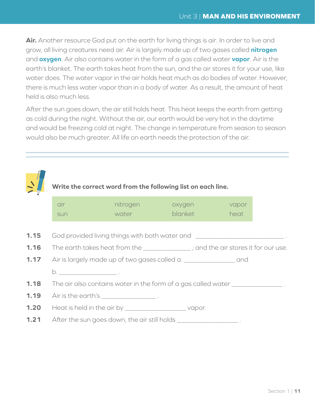**Air.** Another resource God put on the earth for living things is *air*. In order to live and grow, all living creatures need air. Air is largely made up of two gases called **nitrogen** and **oxygen**. Air also contains water in the form of a gas called water **vapor**. Air is the earth's blanket. The earth takes heat from the sun, and the air stores it for your use, like water does. The water vapor in the air holds heat much as do bodies of water. However, there is much less water vapor than in a body of water. As a result, the amount of heat held is also much less.

After the sun goes down, the air still holds heat. This heat keeps the earth from getting as cold during the night. Without the air, our earth would be very hot in the daytime and would be freezing cold at night. The change in temperature from season to season would also be much greater. All life on earth needs the protection of the air.



# **Write the correct word from the following list on each line.**

|      | air                                                                              | nitrogen                                                             | oxygen  | vapor                                                                            |  |
|------|----------------------------------------------------------------------------------|----------------------------------------------------------------------|---------|----------------------------------------------------------------------------------|--|
|      | sun                                                                              | water                                                                | blanket | heat                                                                             |  |
| 1.15 |                                                                                  |                                                                      |         | God provided living things with both water and ________________________________. |  |
| 1.16 | The earth takes heat from the ______________, and the air stores it for our use. |                                                                      |         |                                                                                  |  |
| 1.17 | Air is largely made up of two gases called a. ________________________ and       |                                                                      |         |                                                                                  |  |
|      |                                                                                  |                                                                      |         |                                                                                  |  |
| 1.18 | The air also contains water in the form of a gas called water _________________. |                                                                      |         |                                                                                  |  |
| 1.19 | Air is the earth's ___________________.                                          |                                                                      |         |                                                                                  |  |
| 1.20 |                                                                                  | Heat is held in the air by _____________________________vapor.       |         |                                                                                  |  |
| 1.21 |                                                                                  | After the sun goes down, the air still holds ______________________. |         |                                                                                  |  |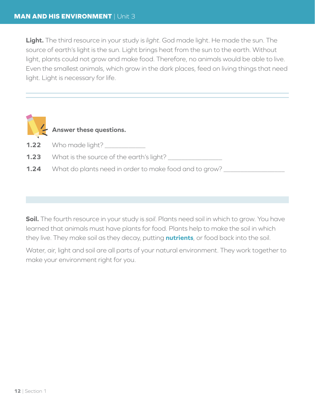**Light.** The third resource in your study is *light*. God made light. He made the sun. The source of earth's light is the sun. Light brings heat from the sun to the earth. Without light, plants could not grow and make food. Therefore, no animals would be able to live. Even the smallest animals, which grow in the dark places, feed on living things that need light. Light is necessary for life.

|      | Answer these questions.                                |
|------|--------------------------------------------------------|
|      |                                                        |
|      | <b>1.22</b> Who made light?                            |
|      | <b>1.23</b> What is the source of the earth's light?   |
| 1.24 | What do plants need in order to make food and to grow? |

**Soil.** The fourth resource in your study is *soil*. Plants need soil in which to grow. You have learned that animals must have plants for food. Plants help to make the soil in which they live. They make soil as they decay, putting **nutrients**, or food back into the soil.

Water, air, light and soil are all parts of your natural environment. They work together to make your environment right for you.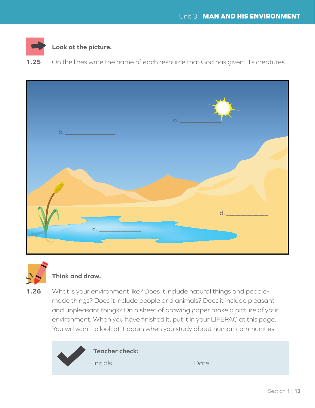

#### **Look at the picture.**

**1.25** On the lines write the name of each resource that God has given His creatures.





#### **Think and draw.**

**1.26** What is your environment like? Does it include natural things and peoplemade things? Does it include people and animals? Does it include pleasant and unpleasant things? On a sheet of drawing paper make a picture of your environment. When you have finished it, put it in your LIFEPAC at this page. You will want to look at it again when you study about human communities.

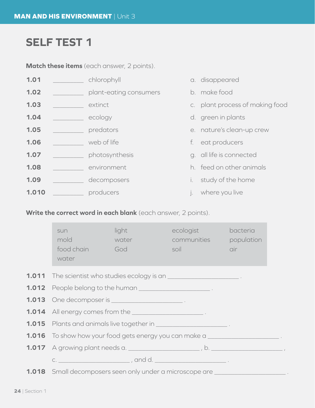### **SELF TEST 1**

**Match these items** (each answer, 2 points).

| 1.01  | chlorophyll            |           | a. disappeared                  |
|-------|------------------------|-----------|---------------------------------|
| 1.02  | plant-eating consumers |           | b. make food                    |
| 1.03  | extinct                |           | c. plant process of making food |
| 1.04  | ecology                |           | d. green in plants              |
| 1.05  | predators              |           | e. nature's clean-up crew       |
| 1.06  | web of life            |           | f. eat producers                |
| 1.07  | photosynthesis         |           | g. all life is connected        |
| 1.08  | environment            |           | h. feed on other animals        |
| 1.09  | decomposers            | $i$ .     | study of the home               |
| 1.010 | producers              | $\vert$ . | where you live                  |

**Write the correct word in each blank** (each answer, 2 points).

| sun<br>mold<br>food chain God<br>water                                                                                                                                                                                               | light<br>water | ecologist and the secologist<br>communities population<br>soil | bacteria<br>air                                                                  |  |  |  |
|--------------------------------------------------------------------------------------------------------------------------------------------------------------------------------------------------------------------------------------|----------------|----------------------------------------------------------------|----------------------------------------------------------------------------------|--|--|--|
| 1.011 The scientist who studies ecology is an __________________________________                                                                                                                                                     |                |                                                                |                                                                                  |  |  |  |
|                                                                                                                                                                                                                                      |                |                                                                |                                                                                  |  |  |  |
| <b>1.013</b> One decomposer is <u>entitled</u> .                                                                                                                                                                                     |                |                                                                |                                                                                  |  |  |  |
| 1.014 All energy comes from the <b>constant of the contract of the set of the set of the set of the set of the set of the set of the set of the set of the set of the set of the set of the set of the set of the set of the set</b> |                |                                                                |                                                                                  |  |  |  |
| 1.015 Plants and animals live together in _________________________.                                                                                                                                                                 |                |                                                                |                                                                                  |  |  |  |
| 1.016 To show how your food gets energy you can make a ________________________.                                                                                                                                                     |                |                                                                |                                                                                  |  |  |  |
|                                                                                                                                                                                                                                      |                |                                                                |                                                                                  |  |  |  |
|                                                                                                                                                                                                                                      |                |                                                                |                                                                                  |  |  |  |
|                                                                                                                                                                                                                                      |                |                                                                | 1.018 Small decomposers seen only under a microscope are _______________________ |  |  |  |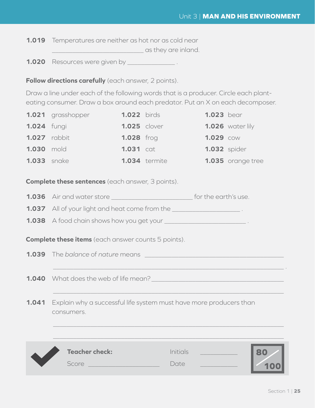**1.019** Temperatures are neither as hot nor as cold near **Example 20** as they are inland.

**1.020** Resources were given by \_\_\_\_\_\_\_\_\_\_\_\_\_\_\_\_\_.

**Follow directions carefully** (each answer, 2 points).

Draw a line under each of the following words that is a producer. Circle each planteating consumer. Draw a box around each predator. Put an X on each decomposer.

|                    | 1.021 grasshopper   | <b>1.022</b> birds  |                      | <b>1.023</b> bear   |                    |
|--------------------|---------------------|---------------------|----------------------|---------------------|--------------------|
| <b>1.024</b> fungi |                     | <b>1.025</b> clover |                      |                     | $1.026$ water lily |
|                    | <b>1.027</b> rabbit | <b>1.028</b> frog   |                      | <b>1.029 COW</b>    |                    |
| <b>1.030 mold</b>  |                     | <b>1.031</b> cat    |                      | <b>1.032</b> spider |                    |
| <b>1.033</b> snake |                     |                     | <b>1.034</b> termite |                     | 1.035 orange tree  |

**Complete these sentences** (each answer, 3 points).

**1.036** Air and water store **1.036** Air and water store

**1.037** All of your light and heat come from the \_\_\_\_\_\_\_\_\_\_\_\_\_\_\_\_\_\_\_\_\_\_\_\_\_.

**1.038** A food chain shows how you get your

**Complete these items** (each answer counts 5 points).

**1.039** The *balance* of *nature* means \_\_\_\_\_\_\_\_\_\_\_\_\_\_\_\_\_\_\_\_\_\_\_\_\_\_\_\_\_\_\_\_\_\_\_\_\_\_\_\_\_

**1.040** What does the web of life mean?

**1.041** Explain why a successful life system must have more producers than consumers.



\_\_\_\_\_\_\_\_\_\_\_\_\_\_\_\_\_\_\_\_\_\_\_\_\_\_\_\_\_\_\_\_\_\_\_\_\_\_\_\_\_\_\_\_\_\_\_\_\_\_\_\_\_\_\_\_\_\_\_\_\_\_\_\_\_\_\_\_ .

 $\overline{\phantom{a}}$  , and the contribution of the contribution of the contribution of the contribution of the contribution of the contribution of the contribution of the contribution of the contribution of the contribution of the

 $\overline{\phantom{a}}$  , and the contribution of the contribution of the contribution of the contribution of the contribution of the contribution of the contribution of the contribution of the contribution of the contribution of the